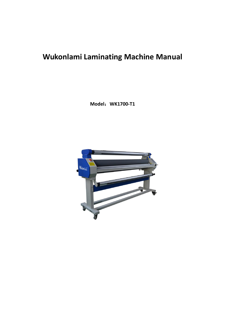# **Wukonlami Laminating Machine Manual**

**Model**:**WK1700-T1**

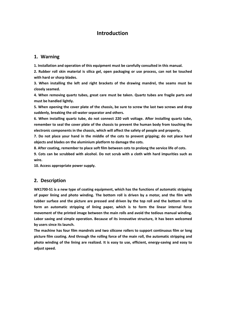## **Introduction**

## **1. Warning**

**1. Installation and operation of this equipment must be carefully consulted in this manual.**

**2. Rubber roll skin material is silica gel, open packaging or use process, can not be touched with hard or sharp blades.**

**3. When installing the left and right brackets of the drawing mandrel, the seams must be closely seamed.**

**4. When removing quartz tubes, great care must be taken. Quartz tubes are fragile parts and must be handled lightly.**

5. When opening the cover plate of the chassis, be sure to screw the last two screws and drop **suddenly, breaking the oil-water separator and others.**

**6. When installing quartz tube, do not connect 220 volt voltage. After installing quartz tube, remember to seal the cover plate of the chassis to preventthe human body from touching the electronic components in the chassis, which will affect the safety of people and property.**

**7. Do not place your hand in the middle of the cots to prevent gripping; do not place hard objects and blades on the aluminium platform to damage the cots.**

**8. After coating, remember to place soft film between cots to prolong the service life of cots.**

**9. Cots can be scrubbed with alcohol. Do not scrub with a cloth with hard impurities such as wire.**

**10. Access appropriate power supply.**

## **2. Description**

**WK1700-S1 is a new type of coating equipment, which has the functions of automatic stripping of paper lining and photo winding. The bottom roll is driven by a motor, and the film with rubber surface and the picture are pressed and driven by the top roll and the bottom roll to form an automatic stripping of lining paper, which is to form the linear internal force movement of the printed image between the main rolls and avoid the tedious manual winding. Labor saving and simple operation. Because of its innovative structure, it has been welcomed** by users since its launch.<br>The machine has four film mandrels and two silicone rollers to support continuous film or long

**picture film coating. And through the rolling force of the main roll, the automatic stripping and photo winding of the lining are realized. It is easy to use, efficient, energy-saving and easy to adjust speed.**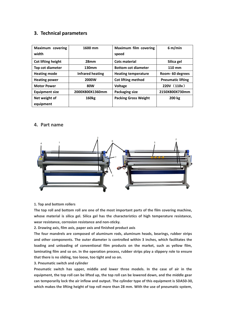## **3. Technical parameters**

| Maximum covering<br>width  | 1600 mm           | Maximum film covering<br>speed | 6 m/min                  |
|----------------------------|-------------------|--------------------------------|--------------------------|
| Cot lifting height         | 28 <sub>mm</sub>  | Cots material                  | Silica gel               |
| Top cot diameter           | 130mm             | <b>Bottom cot diameter</b>     | 110 mm                   |
| <b>Heating mode</b>        | Infrared heating  | <b>Heating temperature</b>     | Room-60 degrees          |
| <b>Heating power</b>       | 2000W             | <b>Cot lifting method</b>      | <b>Pneumatic lifting</b> |
| <b>Motor Power</b>         | <b>80W</b>        | Voltage                        | 220V (110v)              |
| <b>Equipment size</b>      | 2000X800X1360mm   | Packaging size                 | 2150X800X730mm           |
| Net weight of<br>equipment | 160 <sub>kg</sub> | <b>Packing Gross Weight</b>    | 200 kg                   |

## **4. Part name**



#### **1. Top and bottom rollers**

**The top roll and bottom roll are one of the most important parts of the film covering machine, whose material is silica gel. Silica gel has the characteristics of high temperature resistance, wear resistance, corrosion resistance and non-sticky.**

**2. Drawing axis, film axis, paper axis and finished product axis**

**The four mandrels are composed of aluminum rods, aluminum heads, bearings, rubber strips and other components. The outer diameter is controlled within 3 inches, which facilitates the loading and unloading of conventional film products on the market, such as yellow film, laminating film and so on. In the operation process, rubber strips play a slippery role to ensure that there is no sliding, too loose, too tight and so on.**

**3. Pneumatic switch and cylinder**

**Pneumatic switch has upper, middle and lower three models. In the case of air in the** equipment, the top roll can be lifted up, the top roll can be lowered down, and the middle gear **can temporarily lock the air inflow and output. The cylinder type of this equipment is SDA50-30, which makes the lifting height of top roll more than 28 mm. With the use of pneumatic system,**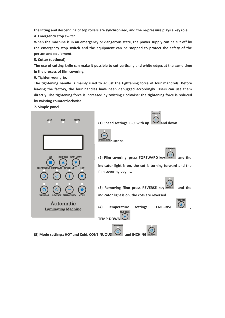**the lifting and descending of top rollers are synchronized, and the re-pressure plays a key role.**

**4. Emergency stop switch**

**When the machine is in an emergency or dangerous state, the power supply can be cut off by the emergency stop switch and the equipment can be stopped to protect the safety of the person and equipment.5. Cutter (optional)**

The use of cutting knife can make it possible to cut vertically and white edges at the same time **in the process of film covering.**

**6. Tighten your grip.**

**The tightening handle is mainly used to adjust the tightening force of four mandrels. Before leaving the factory, the four handles have been debugged accordingly. Users can use them directly. The tightening force is increased by twisting clockwise; the tightening force is reduced by twisting counterclockwise.**

**7. Simple panel**

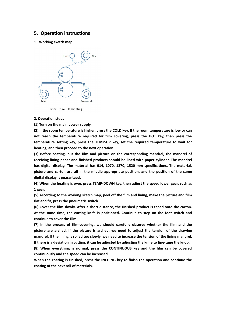### **5. Operation instructions**

#### **1. Working sketch map**



Liner film laminating

#### **2. Operation steps**

**(1) Turn on the main power supply.**

(2) If the room temperature is higher, press the COLD key. If the room temperature is low or can **not reach the temperature required for film covering, press the HOT key, then press the temperature setting key, press the TEMP-UP key, set the required temperature to wait for heating, and then proceed to the next operation.**

**(3) Before coating, put the film and picture on the corresponding mandrel, the mandrel of receiving lining paper and finished products should be lined with paper cylinder. The mandrel has digital display. The material has 914, 1070, 1270, 1520 mm specifications. The material, picture and carton are all in the middle appropriate position, and the position of the same digital display is guaranteed.**

**(4) When the heating is over, press TEMP-DOWN key, then adjust the speed lower gear, such as 1 gear.**

**(5) According to the working sketch map, peel off the film and lining, make the picture and film flat and fit, press the pneumatic switch.**

**(6) Cover the film slowly. After a shortdistance, the finished productis taped onto the carton. At the same time, the cutting knife is positioned. Continue to step on the foot switch and continue to cover the film.**

**(7) In the process of film-covering, we should carefully observe whether the film and the picture are arched. If the picture is arched, we need to adjust the tension of the drawing** mandrel. If the lining is rolled too slowly, we need to increase the tension of the lining mandrel. If there is a deviation in cutting, it can be adjusted by adjusting the knife to fine-tune the knob.

**(8) When everything is normal, press the CONTINUOUS key and the film can be covered** continuously and the speed can be increased.<br>When the coating is finished, press the INCHING key to finish the operation and continue the

**coating of the next roll of materials.**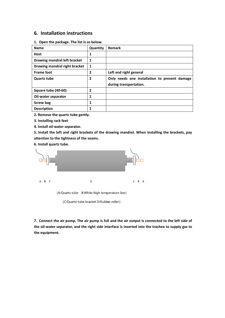## **6. Installation instructions**

**1. Open the package. The list is as below.**

| <b>Name</b>                   | Quantity | Remark                                        |  |
|-------------------------------|----------|-----------------------------------------------|--|
| <b>Host</b>                   | 1        |                                               |  |
| Drawing mandrel left bracket  | 1        |                                               |  |
| Drawing mandrel right bracket | 1        |                                               |  |
| <b>Frame foot</b>             | 2        | Left and right general                        |  |
| <b>Quartz tube</b>            | 2        | Only needs one installation to prevent damage |  |
|                               |          | during transportation.                        |  |
| Square tube (40-60)           | 2        |                                               |  |
| Oil-water separator           | 1        |                                               |  |
| Screw bag                     | 1        |                                               |  |
| <b>Description</b>            |          |                                               |  |

**2. Remove the quartz tube gently.**

**3. Installing rack feet**

**4. Install oil-water separator.**

**5. Install the left and right brackets of the drawing mandrel. When installing the brackets, pay attention to the tightness of the seams.**

**6. Install quartz tube.**



7. Connect the air pump. The air pump is full and the air output is connected to the left side of **the oil-water separator, and the right side interface is inserted into the trachea to supply gas to the equipment.**